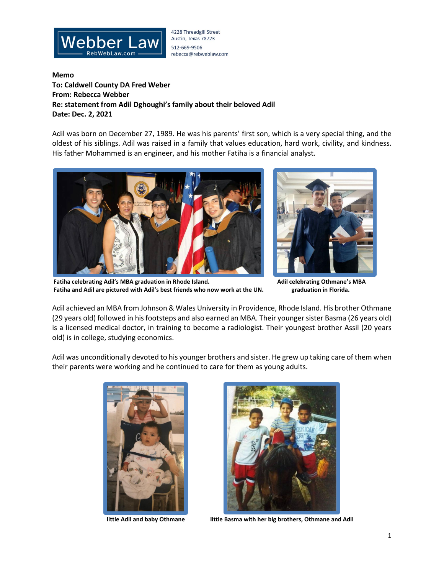

4228 Threadgill Street Austin, Texas 78723 512-669-9506 rebecca@rebweblaw.com

**Memo To: Caldwell County DA Fred Weber From: Rebecca Webber Re: statement from Adil Dghoughi's family about their beloved Adil Date: Dec. 2, 2021**

Adil was born on December 27, 1989. He was his parents' first son, which is a very special thing, and the oldest of his siblings. Adil was raised in a family that values education, hard work, civility, and kindness. His father Mohammed is an engineer, and his mother Fatiha is a financial analyst.





 **Fatiha celebrating Adil's MBA graduation in Rhode Island. Adil celebrating Othmane's MBA Fatiha and Adil are pictured with Adil's best friends who now work at the UN. graduation in Florida.**

Adil achieved an MBA from Johnson & Wales University in Providence, Rhode Island. His brother Othmane (29 years old) followed in his footsteps and also earned an MBA. Their younger sister Basma (26 years old) is a licensed medical doctor, in training to become a radiologist. Their youngest brother Assil (20 years old) is in college, studying economics.

Adil was unconditionally devoted to his younger brothers and sister. He grew up taking care of them when their parents were working and he continued to care for them as young adults.





**little Adil and baby Othmane little Basma with her big brothers, Othmane and Adil**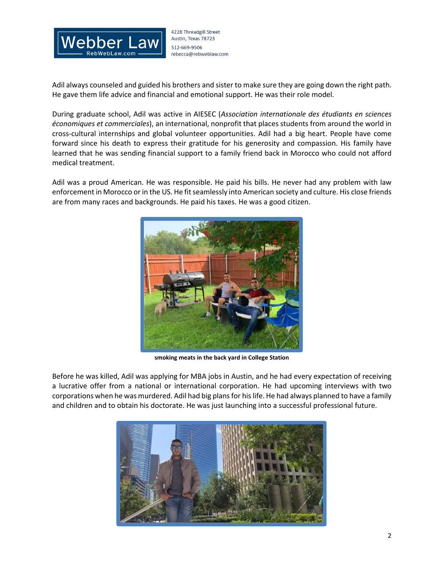

4228 Threadgill Street Austin, Texas 78723 512-669-9506 rebecca@rebweblaw.com

Adil always counseled and guided his brothers and sister to make sure they are going down the right path. He gave them life advice and financial and emotional support. He was their role model.

During graduate school, Adil was active in AIESEC (*Association internationale des étudiants en sciences économiques et commerciales*), an international, nonprofit that places students from around the world in cross-cultural internships and global volunteer opportunities. Adil had a big heart. People have come forward since his death to express their gratitude for his generosity and compassion. His family have learned that he was sending financial support to a family friend back in Morocco who could not afford medical treatment.

Adil was a proud American. He was responsible. He paid his bills. He never had any problem with law enforcement in Morocco or in the US. He fit seamlessly into American society and culture. His close friends are from many races and backgrounds. He paid his taxes. He was a good citizen.



**smoking meats in the back yard in College Station**

Before he was killed, Adil was applying for MBA jobs in Austin, and he had every expectation of receiving a lucrative offer from a national or international corporation. He had upcoming interviews with two corporations when he was murdered. Adil had big plans for his life. He had always planned to have a family and children and to obtain his doctorate. He was just launching into a successful professional future.